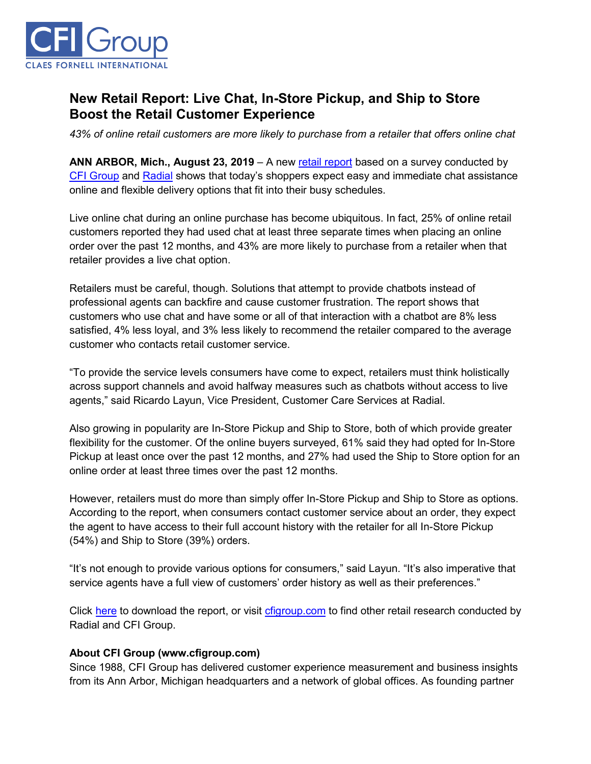

## **New Retail Report: Live Chat, In-Store Pickup, and Ship to Store Boost the Retail Customer Experience**

*43% of online retail customers are more likely to purchase from a retailer that offers online chat*

**ANN ARBOR, Mich., August 23, 2019** – A new [retail report](https://cfigroup.com/resource-item/retail-report-aug-2019?utm_campaign=aug2019&utm_source=release&utm_content=top) based on a survey conducted by [CFI Group](https://cfigroup.com/?utm_campaign=aug2019&utm_source=release&utm_content=top) and [Radial](https://radial.com/?utm_campaign=aug2019&utm_source=release&utm_content=top) shows that today's shoppers expect easy and immediate chat assistance online and flexible delivery options that fit into their busy schedules.

Live online chat during an online purchase has become ubiquitous. In fact, 25% of online retail customers reported they had used chat at least three separate times when placing an online order over the past 12 months, and 43% are more likely to purchase from a retailer when that retailer provides a live chat option.

Retailers must be careful, though. Solutions that attempt to provide chatbots instead of professional agents can backfire and cause customer frustration. The report shows that customers who use chat and have some or all of that interaction with a chatbot are 8% less satisfied, 4% less loyal, and 3% less likely to recommend the retailer compared to the average customer who contacts retail customer service.

"To provide the service levels consumers have come to expect, retailers must think holistically across support channels and avoid halfway measures such as chatbots without access to live agents," said Ricardo Layun, Vice President, Customer Care Services at Radial.

Also growing in popularity are In-Store Pickup and Ship to Store, both of which provide greater flexibility for the customer. Of the online buyers surveyed, 61% said they had opted for In-Store Pickup at least once over the past 12 months, and 27% had used the Ship to Store option for an online order at least three times over the past 12 months.

However, retailers must do more than simply offer In-Store Pickup and Ship to Store as options. According to the report, when consumers contact customer service about an order, they expect the agent to have access to their full account history with the retailer for all In-Store Pickup (54%) and Ship to Store (39%) orders.

"It's not enough to provide various options for consumers," said Layun. "It's also imperative that service agents have a full view of customers' order history as well as their preferences."

Click [here](https://cfigroup.com/resource-item/retail-report-aug-2019?utm_campaign=aug2019&utm_source=release&utm_content=bottom) to download the report, or visit [cfigroup.com](https://cfigroup.com/?utm_campaign=aug2019&utm_source=release&utm_content=bottom) to find other retail research conducted by Radial and CFI Group.

## **About CFI Group (www.cfigroup.com)**

Since 1988, CFI Group has delivered customer experience measurement and business insights from its Ann Arbor, Michigan headquarters and a network of global offices. As founding partner